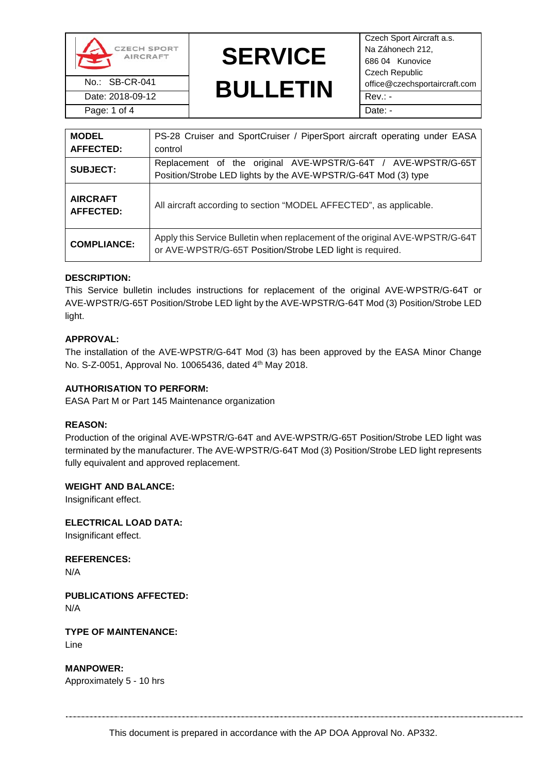

Date: 2018-09-12 Rev.: -

# **SERVICE**

No.: SB-CR-041 **BULLETIN** office@czechsportaircraft.com Czech Sport Aircraft a.s. Na Záhonech 212, 686 04 Kunovice Czech Republic Page: 1 of 4 Date: -

| <b>MODEL</b><br>AFFECTED:           | PS-28 Cruiser and SportCruiser / PiperSport aircraft operating under EASA<br>control                                                      |  |  |
|-------------------------------------|-------------------------------------------------------------------------------------------------------------------------------------------|--|--|
| <b>SUBJECT:</b>                     | Replacement of the original AVE-WPSTR/G-64T / AVE-WPSTR/G-65T<br>Position/Strobe LED lights by the AVE-WPSTR/G-64T Mod (3) type           |  |  |
| <b>AIRCRAFT</b><br><b>AFFECTED:</b> | All aircraft according to section "MODEL AFFECTED", as applicable.                                                                        |  |  |
| <b>COMPLIANCE:</b>                  | Apply this Service Bulletin when replacement of the original AVE-WPSTR/G-64T<br>or AVE-WPSTR/G-65T Position/Strobe LED light is required. |  |  |

## **DESCRIPTION:**

This Service bulletin includes instructions for replacement of the original AVE-WPSTR/G-64T or AVE-WPSTR/G-65T Position/Strobe LED light by the AVE-WPSTR/G-64T Mod (3) Position/Strobe LED light.

## **APPROVAL:**

The installation of the AVE-WPSTR/G-64T Mod (3) has been approved by the EASA Minor Change No. S-Z-0051, Approval No. 10065436, dated 4th May 2018.

## **AUTHORISATION TO PERFORM:**

EASA Part M or Part 145 Maintenance organization

### **REASON:**

Production of the original AVE-WPSTR/G-64T and AVE-WPSTR/G-65T Position/Strobe LED light was terminated by the manufacturer. The AVE-WPSTR/G-64T Mod (3) Position/Strobe LED light represents fully equivalent and approved replacement.

### **WEIGHT AND BALANCE:**

Insignificant effect.

**ELECTRICAL LOAD DATA:**

Insignificant effect.

**REFERENCES:**

N/A

**PUBLICATIONS AFFECTED:**

N/A

**TYPE OF MAINTENANCE:** Line

**MANPOWER:** Approximately 5 - 10 hrs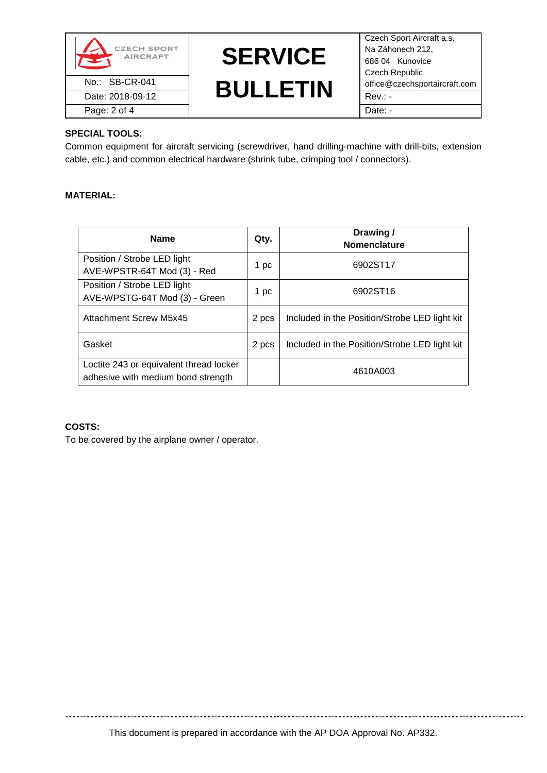



Czech Sport Aircraft a.s. Na Záhonech 212, 686 04 Kunovice Czech Republic

# **SPECIAL TOOLS:**

Common equipment for aircraft servicing (screwdriver, hand drilling-machine with drill-bits, extension cable, etc.) and common electrical hardware (shrink tube, crimping tool / connectors).

# **MATERIAL:**

| <b>Name</b>                                                                   | Qty.  | Drawing /<br><b>Nomenclature</b>              |
|-------------------------------------------------------------------------------|-------|-----------------------------------------------|
| Position / Strobe LED light<br>AVE-WPSTR-64T Mod (3) - Red                    | 1 pc  | 6902ST17                                      |
| Position / Strobe LED light<br>AVE-WPSTG-64T Mod (3) - Green                  | 1 pc  | 6902ST16                                      |
| <b>Attachment Screw M5x45</b>                                                 | 2 pcs | Included in the Position/Strobe LED light kit |
| Gasket                                                                        | 2 pcs | Included in the Position/Strobe LED light kit |
| Loctite 243 or equivalent thread locker<br>adhesive with medium bond strength |       | 4610A003                                      |

# **COSTS:**

To be covered by the airplane owner / operator.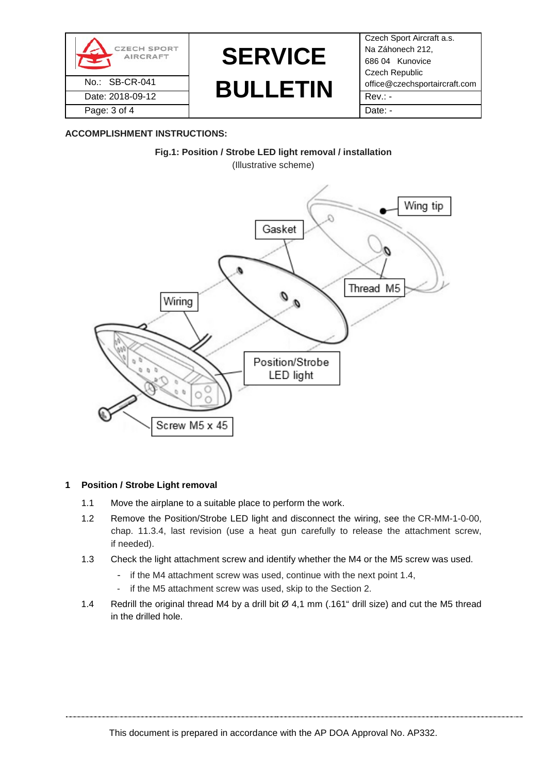



Czech Sport Aircraft a.s. Na Záhonech 212, 686 04 Kunovice Czech Republic

## **ACCOMPLISHMENT INSTRUCTIONS:**



### **1 Position / Strobe Light removal**

- 1.1 Move the airplane to a suitable place to perform the work.
- 1.2 Remove the Position/Strobe LED light and disconnect the wiring, see the CR-MM-1-0-00, chap. 11.3.4, last revision (use a heat gun carefully to release the attachment screw, if needed).
- 1.3 Check the light attachment screw and identify whether the M4 or the M5 screw was used.
	- if the M4 attachment screw was used, continue with the next point 1.4,
	- if the M5 attachment screw was used, skip to the Section 2.
- 1.4 Redrill the original thread M4 by a drill bit Ø 4,1 mm (.161" drill size) and cut the M5 thread in the drilled hole.